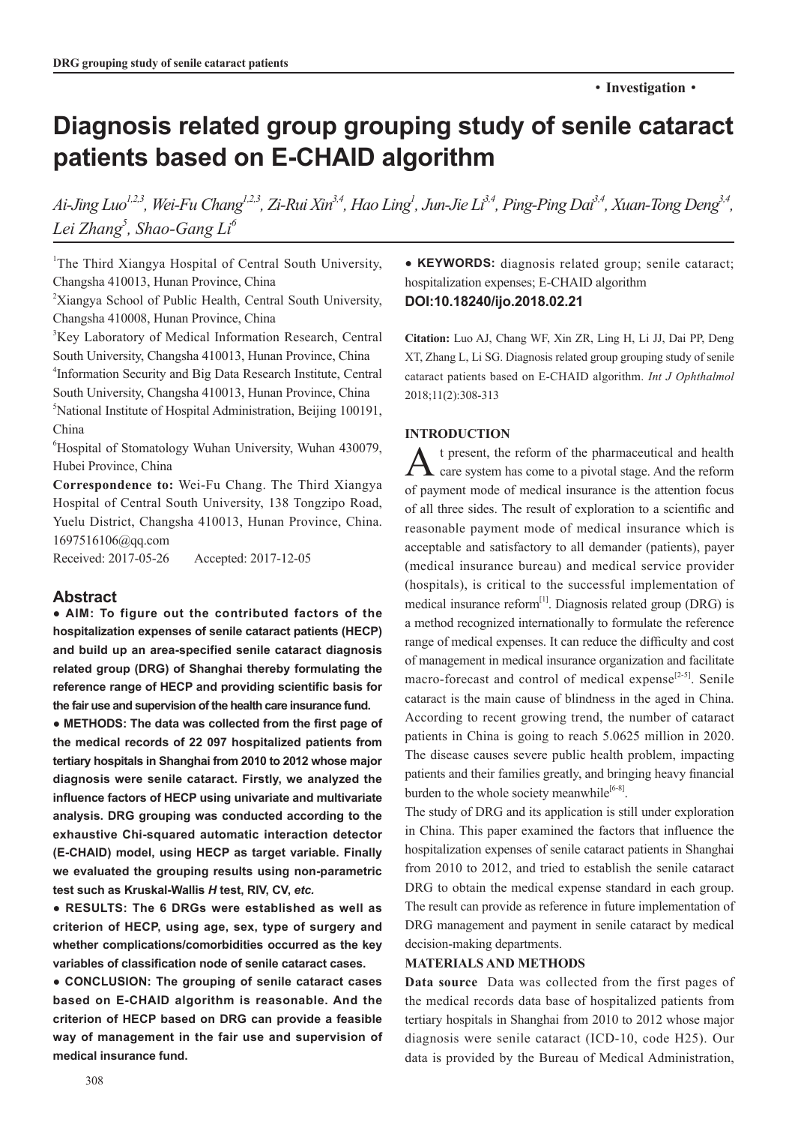# **Diagnosis related group grouping study of senile cataract patients based on E-CHAID algorithm**

Ai-Jing Luo<sup>1,2,3</sup>, Wei-Fu Chang<sup>1,2,3</sup>, Zi-Rui Xin<sup>3,4</sup>, Hao Ling<sup>1</sup>, Jun-Jie Li<sup>3,4</sup>, Ping-Ping Dai<sup>3,4</sup>, Xuan-Tong Deng<sup>3,4</sup>, *Lei Zhang5 , Shao-Gang Li6*

<sup>1</sup>The Third Xiangya Hospital of Central South University, Changsha 410013, Hunan Province, China

<sup>2</sup>Xiangya School of Public Health, Central South University, Changsha 410008, Hunan Province, China

3 Key Laboratory of Medical Information Research, Central South University, Changsha 410013, Hunan Province, China 4 Information Security and Big Data Research Institute, Central South University, Changsha 410013, Hunan Province, China 5 National Institute of Hospital Administration, Beijing 100191, China

6 Hospital of Stomatology Wuhan University, Wuhan 430079, Hubei Province, China

**Correspondence to:** Wei-Fu Chang. The Third Xiangya Hospital of Central South University, 138 Tongzipo Road, Yuelu District, Changsha 410013, Hunan Province, China. 1697516106@qq.com

Received: 2017-05-26 Accepted: 2017-12-05

## **Abstract**

**● AIM: To figure out the contributed factors of the hospitalization expenses of senile cataract patients (HECP) and build up an area-specified senile cataract diagnosis related group (DRG) of Shanghai thereby formulating the reference range of HECP and providing scientific basis for the fair use and supervision of the health care insurance fund.**

**● METHODS: The data was collected from the first page of the medical records of 22 097 hospitalized patients from tertiary hospitals in Shanghai from 2010 to 2012 whose major diagnosis were senile cataract. Firstly, we analyzed the influence factors of HECP using univariate and multivariate analysis. DRG grouping was conducted according to the exhaustive Chi-squared automatic interaction detector (E-CHAID) model, using HECP as target variable. Finally we evaluated the grouping results using non-parametric test such as Kruskal-Wallis** *H* **test, RIV, CV,** *etc.*

**● RESULTS: The 6 DRGs were established as well as criterion of HECP, using age, sex, type of surgery and whether complications/comorbidities occurred as the key variables of classification node of senile cataract cases.**

**● CONCLUSION: The grouping of senile cataract cases based on E-CHAID algorithm is reasonable. And the criterion of HECP based on DRG can provide a feasible way of management in the fair use and supervision of medical insurance fund.**

**● KEYWORDS:** diagnosis related group; senile cataract; hospitalization expenses; E-CHAID algorithm **DOI:10.18240/ijo.2018.02.21**

**Citation:** Luo AJ, Chang WF, Xin ZR, Ling H, Li JJ, Dai PP, Deng XT, Zhang L, Li SG. Diagnosis related group grouping study of senile cataract patients based on E-CHAID algorithm. *Int J Ophthalmol* 2018;11(2):308-313

## **INTRODUCTION**

 $A$ <sup>t</sup> present, the reform of the pharmaceutical and health care system has come to a pivotal stage. And the reform of payment mode of medical insurance is the attention focus of all three sides. The result of exploration to a scientific and reasonable payment mode of medical insurance which is acceptable and satisfactory to all demander (patients), payer (medical insurance bureau) and medical service provider (hospitals), is critical to the successful implementation of medical insurance reform $^{[1]}$ . Diagnosis related group (DRG) is a method recognized internationally to formulate the reference range of medical expenses. It can reduce the difficulty and cost of management in medical insurance organization and facilitate macro-forecast and control of medical expense<sup>[2-5]</sup>. Senile cataract is the main cause of blindness in the aged in China. According to recent growing trend, the number of cataract patients in China is going to reach 5.0625 million in 2020. The disease causes severe public health problem, impacting patients and their families greatly, and bringing heavy financial burden to the whole society meanwhile $[6-8]$ .

The study of DRG and its application is still under exploration in China. This paper examined the factors that influence the hospitalization expenses of senile cataract patients in Shanghai from 2010 to 2012, and tried to establish the senile cataract DRG to obtain the medical expense standard in each group. The result can provide as reference in future implementation of DRG management and payment in senile cataract by medical decision-making departments.

## **MATERIALS AND METHODS**

**Data source** Data was collected from the first pages of the medical records data base of hospitalized patients from tertiary hospitals in Shanghai from 2010 to 2012 whose major diagnosis were senile cataract (ICD-10, code H25). Our data is provided by the Bureau of Medical Administration,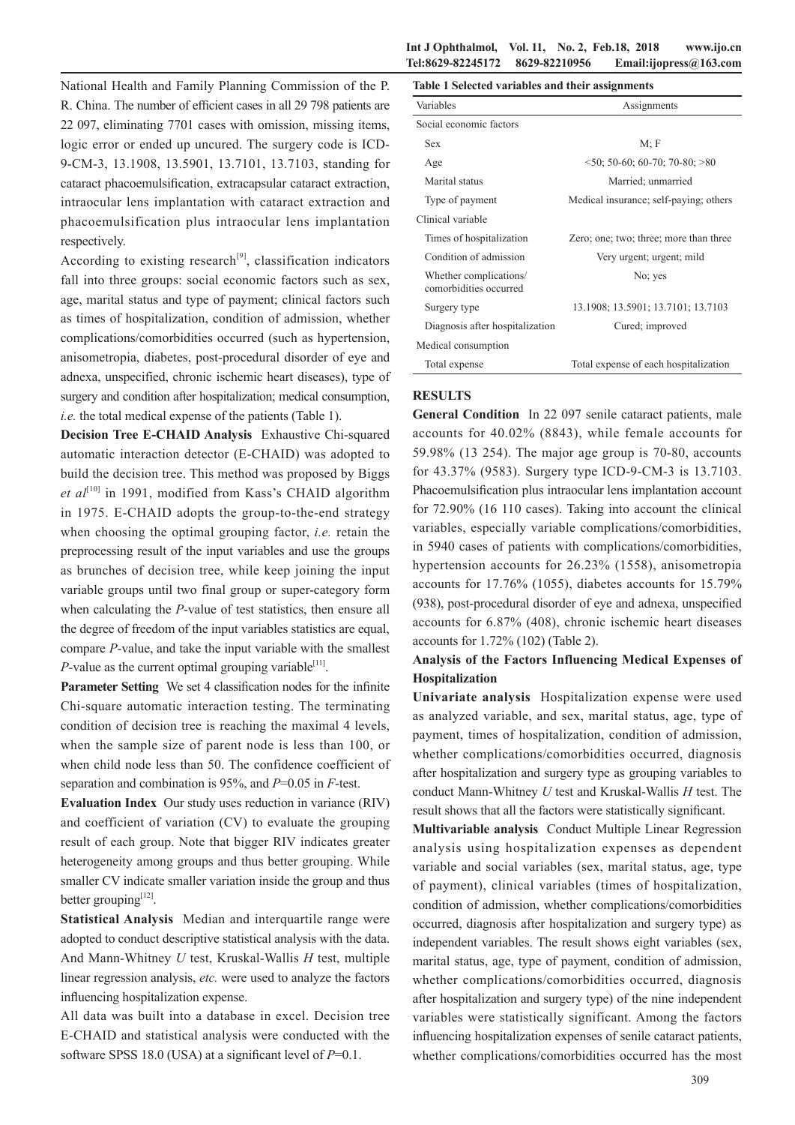National Health and Family Planning Commission of the P. R. China. The number of efficient cases in all 29 798 patients are 22 097, eliminating 7701 cases with omission, missing items, logic error or ended up uncured. The surgery code is ICD-9-CM-3, 13.1908, 13.5901, 13.7101, 13.7103, standing for cataract phacoemulsification, extracapsular cataract extraction, intraocular lens implantation with cataract extraction and phacoemulsification plus intraocular lens implantation respectively.

According to existing research<sup>[9]</sup>, classification indicators fall into three groups: social economic factors such as sex, age, marital status and type of payment; clinical factors such as times of hospitalization, condition of admission, whether complications/comorbidities occurred (such as hypertension, anisometropia, diabetes, post-procedural disorder of eye and adnexa, unspecified, chronic ischemic heart diseases), type of surgery and condition after hospitalization; medical consumption, *i.e.* the total medical expense of the patients (Table 1).

**Decision Tree E-CHAID Analysis** Exhaustive Chi-squared automatic interaction detector (E-CHAID) was adopted to build the decision tree. This method was proposed by Biggs *et al*<sup>[10]</sup> in 1991, modified from Kass's CHAID algorithm in 1975. E-CHAID adopts the group-to-the-end strategy when choosing the optimal grouping factor, *i.e.* retain the preprocessing result of the input variables and use the groups as brunches of decision tree, while keep joining the input variable groups until two final group or super-category form when calculating the *P*-value of test statistics, then ensure all the degree of freedom of the input variables statistics are equal, compare *P*-value, and take the input variable with the smallest *P*-value as the current optimal grouping variable<sup>[11]</sup>.

**Parameter Setting** We set 4 classification nodes for the infinite Chi-square automatic interaction testing. The terminating condition of decision tree is reaching the maximal 4 levels, when the sample size of parent node is less than 100, or when child node less than 50. The confidence coefficient of separation and combination is 95%, and *P*=0.05 in *F*-test.

**Evaluation Index** Our study uses reduction in variance (RIV) and coefficient of variation (CV) to evaluate the grouping result of each group. Note that bigger RIV indicates greater heterogeneity among groups and thus better grouping. While smaller CV indicate smaller variation inside the group and thus better grouping<sup>[12]</sup>.

**Statistical Analysis** Median and interquartile range were adopted to conduct descriptive statistical analysis with the data. And Mann-Whitney *U* test, Kruskal-Wallis *H* test, multiple linear regression analysis, *etc.* were used to analyze the factors influencing hospitalization expense.

All data was built into a database in excel. Decision tree E-CHAID and statistical analysis were conducted with the software SPSS 18.0 (USA) at a significant level of *P*=0.1.

### **Int J Ophthalmol, Vol. 11, No. 2, Feb.18, 2018 www.ijo.cn Tel:8629-82245172 8629-82210956 Email:ijopress@163.com**

| Table 1 Selected variables and their assignments |  |
|--------------------------------------------------|--|
|                                                  |  |

| Variables                                        | Assignments                            |
|--------------------------------------------------|----------------------------------------|
| Social economic factors                          |                                        |
| <b>Sex</b>                                       | $M$ ; F                                |
| Age                                              | $50$ ; 50-60; 60-70; 70-80; $>80$      |
| Marital status                                   | Married; unmarried                     |
| Type of payment                                  | Medical insurance; self-paying; others |
| Clinical variable                                |                                        |
| Times of hospitalization                         | Zero; one; two; three; more than three |
| Condition of admission                           | Very urgent; urgent; mild              |
| Whether complications/<br>comorbidities occurred | No; yes                                |
| Surgery type                                     | 13.1908; 13.5901; 13.7101; 13.7103     |
| Diagnosis after hospitalization                  | Cured; improved                        |
| Medical consumption                              |                                        |
| Total expense                                    | Total expense of each hospitalization  |

## **RESULTS**

**General Condition** In 22 097 senile cataract patients, male accounts for 40.02% (8843), while female accounts for 59.98% (13 254). The major age group is 70-80, accounts for 43.37% (9583). Surgery type ICD-9-CM-3 is 13.7103. Phacoemulsification plus intraocular lens implantation account for 72.90% (16 110 cases). Taking into account the clinical variables, especially variable complications/comorbidities, in 5940 cases of patients with complications/comorbidities, hypertension accounts for 26.23% (1558), anisometropia accounts for 17.76% (1055), diabetes accounts for 15.79% (938), post-procedural disorder of eye and adnexa, unspecified accounts for 6.87% (408), chronic ischemic heart diseases accounts for 1.72% (102) (Table 2).

## **Analysis of the Factors Influencing Medical Expenses of Hospitalization**

**Univariate analysis** Hospitalization expense were used as analyzed variable, and sex, marital status, age, type of payment, times of hospitalization, condition of admission, whether complications/comorbidities occurred, diagnosis after hospitalization and surgery type as grouping variables to conduct Mann-Whitney *U* test and Kruskal-Wallis *H* test. The result shows that all the factors were statistically significant.

**Multivariable analysis** Conduct Multiple Linear Regression analysis using hospitalization expenses as dependent variable and social variables (sex, marital status, age, type of payment), clinical variables (times of hospitalization, condition of admission, whether complications/comorbidities occurred, diagnosis after hospitalization and surgery type) as independent variables. The result shows eight variables (sex, marital status, age, type of payment, condition of admission, whether complications/comorbidities occurred, diagnosis after hospitalization and surgery type) of the nine independent variables were statistically significant. Among the factors influencing hospitalization expenses of senile cataract patients, whether complications/comorbidities occurred has the most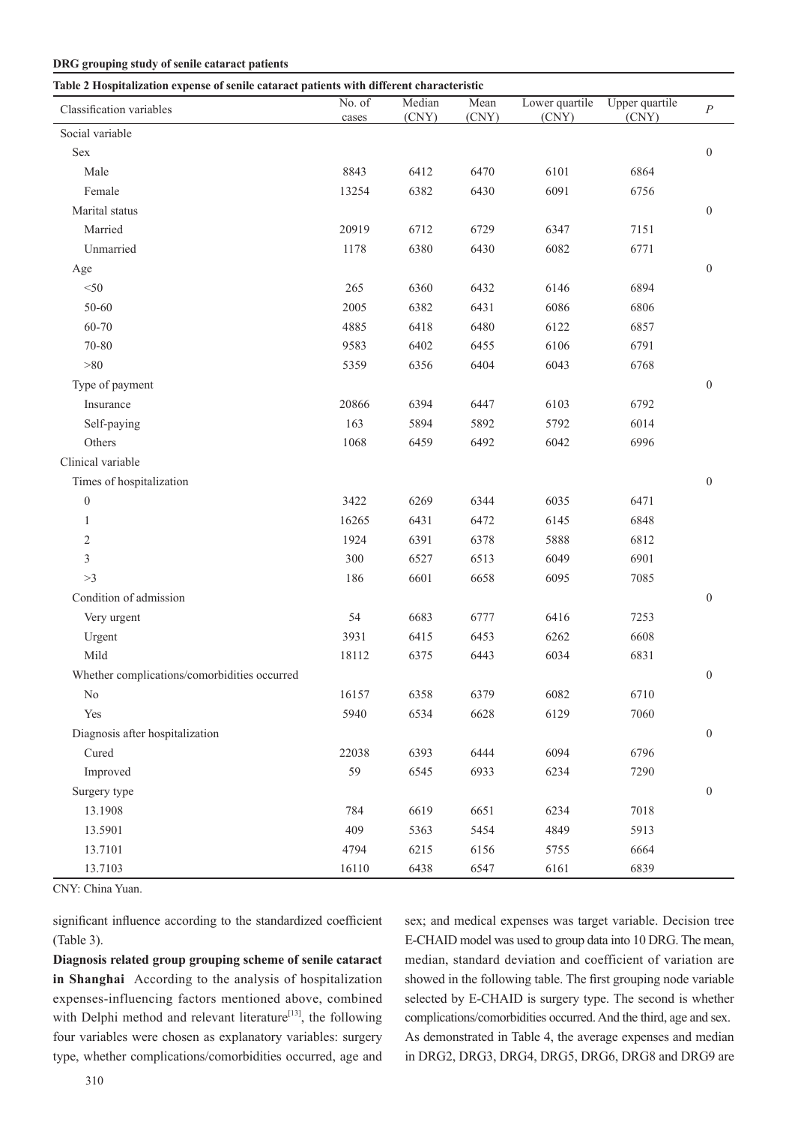#### **DRG grouping study of senile cataract patients**

| Table 2 Hospitalization expense of senile cataract patients with different characteristic |                 |                 |               |                         |                         |                  |  |  |  |
|-------------------------------------------------------------------------------------------|-----------------|-----------------|---------------|-------------------------|-------------------------|------------------|--|--|--|
| Classification variables                                                                  | No. of<br>cases | Median<br>(CNY) | Mean<br>(CNY) | Lower quartile<br>(CNY) | Upper quartile<br>(CNY) | $\boldsymbol{P}$ |  |  |  |
| Social variable                                                                           |                 |                 |               |                         |                         |                  |  |  |  |
| Sex                                                                                       |                 |                 |               |                         |                         | $\boldsymbol{0}$ |  |  |  |
| Male                                                                                      | 8843            | 6412            | 6470          | 6101                    | 6864                    |                  |  |  |  |
| Female                                                                                    | 13254           | 6382            | 6430          | 6091                    | 6756                    |                  |  |  |  |
| Marital status                                                                            |                 |                 |               |                         |                         | $\boldsymbol{0}$ |  |  |  |
| Married                                                                                   | 20919           | 6712            | 6729          | 6347                    | 7151                    |                  |  |  |  |
| Unmarried                                                                                 | 1178            | 6380            | 6430          | 6082                    | 6771                    |                  |  |  |  |
| Age                                                                                       |                 |                 |               |                         |                         | $\boldsymbol{0}$ |  |  |  |
| $<$ 50                                                                                    | 265             | 6360            | 6432          | 6146                    | 6894                    |                  |  |  |  |
| 50-60                                                                                     | 2005            | 6382            | 6431          | 6086                    | 6806                    |                  |  |  |  |
| 60-70                                                                                     | 4885            | 6418            | 6480          | 6122                    | 6857                    |                  |  |  |  |
| 70-80                                                                                     | 9583            | 6402            | 6455          | 6106                    | 6791                    |                  |  |  |  |
| $>\!\!80$                                                                                 | 5359            | 6356            | 6404          | 6043                    | 6768                    |                  |  |  |  |
| Type of payment                                                                           |                 |                 |               |                         |                         | $\boldsymbol{0}$ |  |  |  |
| Insurance                                                                                 | 20866           | 6394            | 6447          | 6103                    | 6792                    |                  |  |  |  |
| Self-paying                                                                               | 163             | 5894            | 5892          | 5792                    | 6014                    |                  |  |  |  |
| Others                                                                                    | 1068            | 6459            | 6492          | 6042                    | 6996                    |                  |  |  |  |
| Clinical variable                                                                         |                 |                 |               |                         |                         |                  |  |  |  |
| Times of hospitalization                                                                  |                 |                 |               |                         |                         | $\boldsymbol{0}$ |  |  |  |
| $\boldsymbol{0}$                                                                          | 3422            | 6269            | 6344          | 6035                    | 6471                    |                  |  |  |  |
| $\mathbf{1}$                                                                              | 16265           | 6431            | 6472          | 6145                    | 6848                    |                  |  |  |  |
| 2                                                                                         | 1924            | 6391            | 6378          | 5888                    | 6812                    |                  |  |  |  |
| 3                                                                                         | 300             | 6527            | 6513          | 6049                    | 6901                    |                  |  |  |  |
| >3                                                                                        | 186             | 6601            | 6658          | 6095                    | 7085                    |                  |  |  |  |
| Condition of admission                                                                    |                 |                 |               |                         |                         | $\boldsymbol{0}$ |  |  |  |
| Very urgent                                                                               | 54              | 6683            | 6777          | 6416                    | 7253                    |                  |  |  |  |
| Urgent                                                                                    | 3931            | 6415            | 6453          | 6262                    | 6608                    |                  |  |  |  |
| Mild                                                                                      | 18112           | 6375            | 6443          | 6034                    | 6831                    |                  |  |  |  |
| Whether complications/comorbidities occurred                                              |                 |                 |               |                         |                         | $\boldsymbol{0}$ |  |  |  |
| N <sub>0</sub>                                                                            | 16157           | 6358            | 6379          | 6082                    | 6710                    |                  |  |  |  |
| Yes                                                                                       | 5940            | 6534            | 6628          | 6129                    | 7060                    |                  |  |  |  |
| Diagnosis after hospitalization                                                           |                 |                 |               |                         |                         | $\boldsymbol{0}$ |  |  |  |
| $\ensuremath{\mathrm{C} \mathrm{u} \mathrm{r} \mathrm{e} \mathrm{d}}$                     | 22038           | 6393            | 6444          | 6094                    | 6796                    |                  |  |  |  |
| Improved                                                                                  | 59              | 6545            | 6933          | 6234                    | 7290                    |                  |  |  |  |
| Surgery type                                                                              |                 |                 |               |                         |                         | $\boldsymbol{0}$ |  |  |  |
| 13.1908                                                                                   | 784             | 6619            | 6651          | 6234                    | 7018                    |                  |  |  |  |
| 13.5901                                                                                   | 409             | 5363            | 5454          | 4849                    | 5913                    |                  |  |  |  |
| 13.7101                                                                                   | 4794            | 6215            | 6156          | 5755                    | 6664                    |                  |  |  |  |
| 13.7103                                                                                   | 16110           | 6438            | 6547          | 6161                    | 6839                    |                  |  |  |  |

CNY: China Yuan.

significant influence according to the standardized coefficient (Table 3).

**Diagnosis related group grouping scheme of senile cataract in Shanghai** According to the analysis of hospitalization expenses-influencing factors mentioned above, combined with Delphi method and relevant literature<sup>[13]</sup>, the following four variables were chosen as explanatory variables: surgery type, whether complications/comorbidities occurred, age and sex; and medical expenses was target variable. Decision tree E-CHAID model was used to group data into 10 DRG. The mean, median, standard deviation and coefficient of variation are showed in the following table. The first grouping node variable selected by E-CHAID is surgery type. The second is whether complications/comorbidities occurred. And the third, age and sex. As demonstrated in Table 4, the average expenses and median in DRG2, DRG3, DRG4, DRG5, DRG6, DRG8 and DRG9 are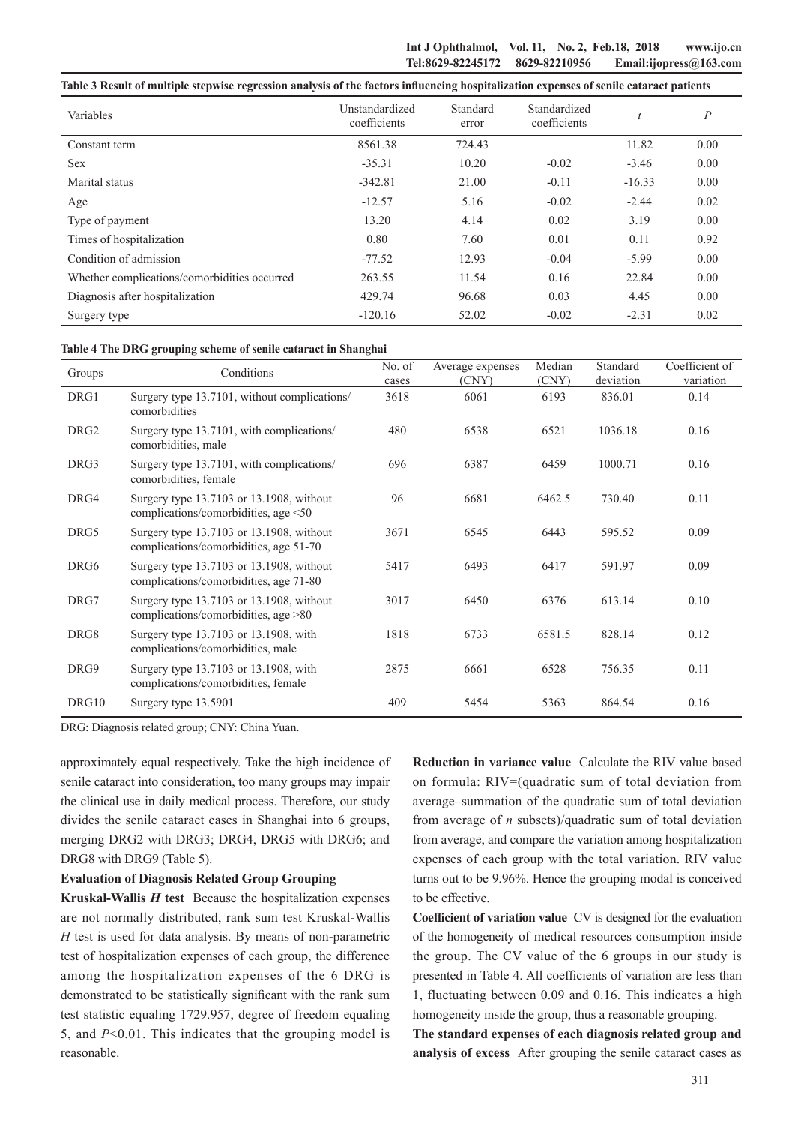**Int J Ophthalmol, Vol. 11, No. 2, Feb.18, 2018 www.ijo.cn Tel:8629-82245172 8629-82210956 Email:ijopress@163.com**

|  |  | Table 3 Result of multiple stepwise regression analysis of the factors influencing hospitalization expenses of senile cataract patients |
|--|--|-----------------------------------------------------------------------------------------------------------------------------------------|
|  |  |                                                                                                                                         |

| Variables                                    | Unstandardized<br>coefficients | Standard<br>error | Standardized<br>coefficients |          | $\boldsymbol{P}$ |
|----------------------------------------------|--------------------------------|-------------------|------------------------------|----------|------------------|
| Constant term                                | 8561.38                        | 724.43            |                              | 11.82    | 0.00             |
| <b>Sex</b>                                   | $-35.31$                       | 10.20             | $-0.02$                      | $-3.46$  | 0.00             |
| Marital status                               | $-342.81$                      | 21.00             | $-0.11$                      | $-16.33$ | 0.00             |
| Age                                          | $-12.57$                       | 5.16              | $-0.02$                      | $-2.44$  | 0.02             |
| Type of payment                              | 13.20                          | 4.14              | 0.02                         | 3.19     | 0.00             |
| Times of hospitalization                     | 0.80                           | 7.60              | 0.01                         | 0.11     | 0.92             |
| Condition of admission                       | $-77.52$                       | 12.93             | $-0.04$                      | $-5.99$  | 0.00             |
| Whether complications/comorbidities occurred | 263.55                         | 11.54             | 0.16                         | 22.84    | 0.00             |
| Diagnosis after hospitalization              | 429.74                         | 96.68             | 0.03                         | 4.45     | 0.00             |
| Surgery type                                 | $-120.16$                      | 52.02             | $-0.02$                      | $-2.31$  | 0.02             |

#### **Table 4 The DRG grouping scheme of senile cataract in Shanghai**

| Groups           | Conditions                                                                         | No. of<br>cases | Average expenses<br>(CNY) | Median<br>(CNY) | Standard<br>deviation | Coefficient of<br>variation |
|------------------|------------------------------------------------------------------------------------|-----------------|---------------------------|-----------------|-----------------------|-----------------------------|
| DRG1             | Surgery type 13.7101, without complications/<br>comorbidities                      | 3618            | 6061                      | 6193            | 836.01                | 0.14                        |
| DRG <sub>2</sub> | Surgery type 13.7101, with complications/<br>comorbidities, male                   | 480             | 6538                      | 6521            | 1036.18               | 0.16                        |
| DRG3             | Surgery type 13.7101, with complications/<br>comorbidities, female                 | 696             | 6387                      | 6459            | 1000.71               | 0.16                        |
| DRG4             | Surgery type 13.7103 or 13.1908, without<br>complications/comorbidities, age <50   | 96              | 6681                      | 6462.5          | 730.40                | 0.11                        |
| DRG5             | Surgery type 13.7103 or 13.1908, without<br>complications/comorbidities, age 51-70 | 3671            | 6545                      | 6443            | 595.52                | 0.09                        |
| DRG6             | Surgery type 13.7103 or 13.1908, without<br>complications/comorbidities, age 71-80 | 5417            | 6493                      | 6417            | 591.97                | 0.09                        |
| DRG7             | Surgery type 13.7103 or 13.1908, without<br>complications/comorbidities, age $>80$ | 3017            | 6450                      | 6376            | 613.14                | 0.10                        |
| DRG8             | Surgery type 13.7103 or 13.1908, with<br>complications/comorbidities, male         | 1818            | 6733                      | 6581.5          | 828.14                | 0.12                        |
| DRG9             | Surgery type 13.7103 or 13.1908, with<br>complications/comorbidities, female       | 2875            | 6661                      | 6528            | 756.35                | 0.11                        |
| DRG10            | Surgery type 13.5901                                                               | 409             | 5454                      | 5363            | 864.54                | 0.16                        |

DRG: Diagnosis related group; CNY: China Yuan.

approximately equal respectively. Take the high incidence of senile cataract into consideration, too many groups may impair the clinical use in daily medical process. Therefore, our study divides the senile cataract cases in Shanghai into 6 groups, merging DRG2 with DRG3; DRG4, DRG5 with DRG6; and DRG8 with DRG9 (Table 5).

### **Evaluation of Diagnosis Related Group Grouping**

**Kruskal-Wallis** *H* **test** Because the hospitalization expenses are not normally distributed, rank sum test Kruskal-Wallis *H* test is used for data analysis. By means of non-parametric test of hospitalization expenses of each group, the difference among the hospitalization expenses of the 6 DRG is demonstrated to be statistically significant with the rank sum test statistic equaling 1729.957, degree of freedom equaling 5, and *P*<0.01. This indicates that the grouping model is reasonable.

**Reduction in variance value** Calculate the RIV value based on formula: RIV=(quadratic sum of total deviation from average–summation of the quadratic sum of total deviation from average of *n* subsets)/quadratic sum of total deviation from average, and compare the variation among hospitalization expenses of each group with the total variation. RIV value turns out to be 9.96%. Hence the grouping modal is conceived to be effective.

**Coefficient of variation value** CV is designed for the evaluation of the homogeneity of medical resources consumption inside the group. The CV value of the 6 groups in our study is presented in Table 4. All coefficients of variation are less than 1, fluctuating between 0.09 and 0.16. This indicates a high homogeneity inside the group, thus a reasonable grouping.

**The standard expenses of each diagnosis related group and analysis of excess** After grouping the senile cataract cases as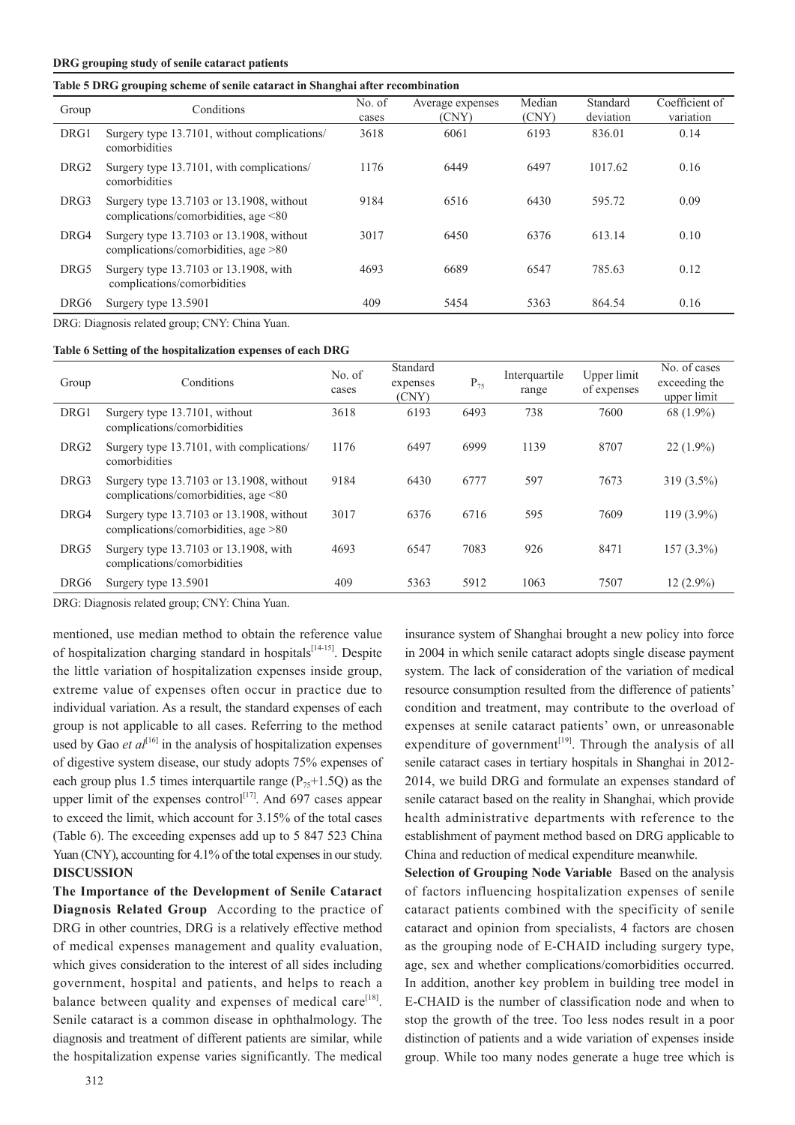#### **DRG grouping study of senile cataract patients**

## **Table 5 DRG grouping scheme of senile cataract in Shanghai after recombination**

| Group            | Conditions                                                                         | No. of<br>cases | Average expenses<br>(CNY) | Median<br>(CNY) | Standard<br>deviation | Coefficient of<br>variation |
|------------------|------------------------------------------------------------------------------------|-----------------|---------------------------|-----------------|-----------------------|-----------------------------|
| DRG1             | Surgery type 13.7101, without complications/<br>comorbidities                      | 3618            | 6061                      | 6193            | 836.01                | 0.14                        |
| DRG <sub>2</sub> | Surgery type 13.7101, with complications/<br>comorbidities                         | 1176            | 6449                      | 6497            | 1017.62               | 0.16                        |
| DRG3             | Surgery type 13.7103 or 13.1908, without<br>complications/comorbidities, age <80   | 9184            | 6516                      | 6430            | 595.72                | 0.09                        |
| DRG4             | Surgery type 13.7103 or 13.1908, without<br>complications/comorbidities, age $>80$ | 3017            | 6450                      | 6376            | 613.14                | 0.10                        |
| DRG5             | Surgery type 13.7103 or 13.1908, with<br>complications/comorbidities               | 4693            | 6689                      | 6547            | 785.63                | 0.12                        |
| DRG6             | Surgery type 13.5901                                                               | 409             | 5454                      | 5363            | 864.54                | 0.16                        |

DRG: Diagnosis related group; CNY: China Yuan.

#### **Table 6 Setting of the hospitalization expenses of each DRG**

| Group            | Conditions                                                                             | No. of<br>cases | Standard<br>expenses<br>(CNY) | $P_{75}$ | Interquartile<br>range | Upper limit<br>of expenses | No. of cases<br>exceeding the<br>upper limit |
|------------------|----------------------------------------------------------------------------------------|-----------------|-------------------------------|----------|------------------------|----------------------------|----------------------------------------------|
| DRG1             | Surgery type 13.7101, without<br>complications/comorbidities                           | 3618            | 6193                          | 6493     | 738                    | 7600                       | 68 (1.9%)                                    |
| DRG <sub>2</sub> | Surgery type 13.7101, with complications/<br>comorbidities                             | 1176            | 6497                          | 6999     | 1139                   | 8707                       | $22(1.9\%)$                                  |
| DRG3             | Surgery type 13.7103 or 13.1908, without<br>complications/comorbidities, age $\leq 80$ | 9184            | 6430                          | 6777     | 597                    | 7673                       | $319(3.5\%)$                                 |
| DRG4             | Surgery type 13.7103 or 13.1908, without<br>complications/comorbidities, age $>80$     | 3017            | 6376                          | 6716     | 595                    | 7609                       | $119(3.9\%)$                                 |
| DRG5             | Surgery type 13.7103 or 13.1908, with<br>complications/comorbidities                   | 4693            | 6547                          | 7083     | 926                    | 8471                       | $157(3.3\%)$                                 |
| DRG6             | Surgery type 13.5901                                                                   | 409             | 5363                          | 5912     | 1063                   | 7507                       | $12(2.9\%)$                                  |

DRG: Diagnosis related group; CNY: China Yuan.

mentioned, use median method to obtain the reference value of hospitalization charging standard in hospitals<sup>[14-15]</sup>. Despite the little variation of hospitalization expenses inside group, extreme value of expenses often occur in practice due to individual variation. As a result, the standard expenses of each group is not applicable to all cases. Referring to the method used by Gao *et al*<sup>[16]</sup> in the analysis of hospitalization expenses of digestive system disease, our study adopts 75% expenses of each group plus 1.5 times interquartile range ( $P_{75}$ +1.5Q) as the upper limit of the expenses control<sup>[17]</sup>. And 697 cases appear to exceed the limit, which account for 3.15% of the total cases (Table 6). The exceeding expenses add up to 5 847 523 China Yuan (CNY), accounting for 4.1% of the total expenses in our study. **DISCUSSION**

**The Importance of the Development of Senile Cataract Diagnosis Related Group** According to the practice of DRG in other countries, DRG is a relatively effective method of medical expenses management and quality evaluation, which gives consideration to the interest of all sides including government, hospital and patients, and helps to reach a balance between quality and expenses of medical care $^{[18]}$ . Senile cataract is a common disease in ophthalmology. The diagnosis and treatment of different patients are similar, while the hospitalization expense varies significantly. The medical

insurance system of Shanghai brought a new policy into force in 2004 in which senile cataract adopts single disease payment system. The lack of consideration of the variation of medical resource consumption resulted from the difference of patients' condition and treatment, may contribute to the overload of expenses at senile cataract patients' own, or unreasonable expenditure of government<sup>[19]</sup>. Through the analysis of all senile cataract cases in tertiary hospitals in Shanghai in 2012- 2014, we build DRG and formulate an expenses standard of senile cataract based on the reality in Shanghai, which provide health administrative departments with reference to the establishment of payment method based on DRG applicable to China and reduction of medical expenditure meanwhile.

**Selection of Grouping Node Variable** Based on the analysis of factors influencing hospitalization expenses of senile cataract patients combined with the specificity of senile cataract and opinion from specialists, 4 factors are chosen as the grouping node of E-CHAID including surgery type, age, sex and whether complications/comorbidities occurred. In addition, another key problem in building tree model in E-CHAID is the number of classification node and when to stop the growth of the tree. Too less nodes result in a poor distinction of patients and a wide variation of expenses inside group. While too many nodes generate a huge tree which is